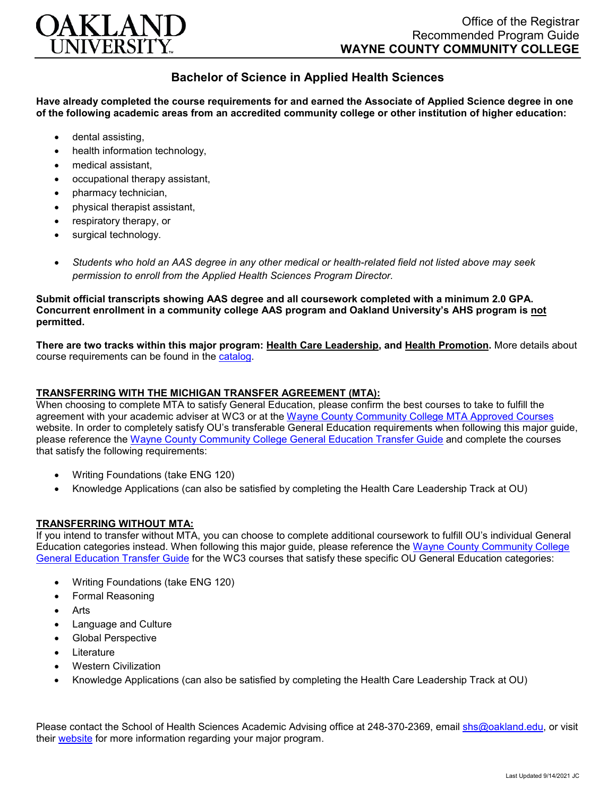

## **Bachelor of Science in Applied Health Sciences**

**Have already completed the course requirements for and earned the Associate of Applied Science degree in one of the following academic areas from an accredited community college or other institution of higher education:**

- dental assisting,
- health information technology.
- medical assistant,
- occupational therapy assistant,
- pharmacy technician,
- physical therapist assistant,
- respiratory therapy, or
- surgical technology.
- *Students who hold an AAS degree in any other medical or health-related field not listed above may seek permission to enroll from the Applied Health Sciences Program Director.*

**Submit official transcripts showing AAS degree and all coursework completed with a minimum 2.0 GPA. Concurrent enrollment in a community college AAS program and Oakland University's AHS program is not permitted.**

**There are two tracks within this major program: Health Care Leadership, and Health Promotion.** More details about course requirements can be found in the [catalog.](http://catalog.oakland.edu/preview_program.php?catoid=53&poid=8649)

## **TRANSFERRING WITH THE MICHIGAN TRANSFER AGREEMENT (MTA):**

When choosing to complete MTA to satisfy General Education, please confirm the best courses to take to fulfill the agreement with your academic adviser at WC3 or at the [Wayne County Community College](http://www.wcccd.edu/students/pp_transfer_agreement.html) MTA Approved Courses website. In order to completely satisfy OU's transferable General Education requirements when following this major guide, please reference the [Wayne County Community College General Education Transfer Guide](https://www.oakland.edu/Assets/Oakland/program-guides/wayne-county-community-college/university-general-education-requirements/Wayne%20Gen%20Ed.pdf) and complete the courses that satisfy the following requirements:

- Writing Foundations (take ENG 120)
- Knowledge Applications (can also be satisfied by completing the Health Care Leadership Track at OU)

## **TRANSFERRING WITHOUT MTA:**

If you intend to transfer without MTA, you can choose to complete additional coursework to fulfill OU's individual General Education categories instead. When following this major guide, please reference the [Wayne County Community College](https://www.oakland.edu/Assets/Oakland/program-guides/wayne-county-community-college/university-general-education-requirements/Wayne%20Gen%20Ed.pdf)  [General Education Transfer Guide](https://www.oakland.edu/Assets/Oakland/program-guides/wayne-county-community-college/university-general-education-requirements/Wayne%20Gen%20Ed.pdf) for the WC3 courses that satisfy these specific OU General Education categories:

- Writing Foundations (take ENG 120)
- Formal Reasoning
- **Arts**
- Language and Culture
- Global Perspective
- **Literature**
- Western Civilization
- Knowledge Applications (can also be satisfied by completing the Health Care Leadership Track at OU)

Please contact the School of Health Sciences Academic Advising office at 248-370-2369, email [shs@oakland.edu,](mailto:shs@oakland.edu) or visit their [website](http://www.oakland.edu/shs/advising) for more information regarding your major program.